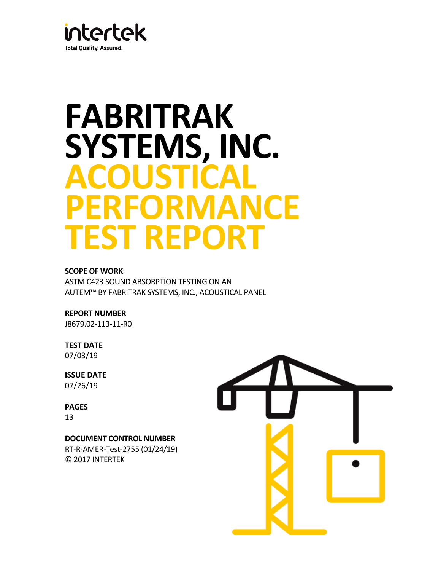

# **FABRITRAK SYSTEMS, INC. ACOUSTICAL PERFORMANCE TEST REPORT**

## **SCOPE OF WORK**

ASTM C423 SOUND ABSORPTION TESTING ON AN AUTEM™ BY FABRITRAK SYSTEMS, INC., ACOUSTICAL PANEL

**REPORT NUMBER**

J8679.02-113-11-R0

**TEST DATE** 07/03/19

**ISSUE DATE** 07/26/19

**PAGES**

13

## **DOCUMENT CONTROL NUMBER**

RT-R-AMER-Test-2755 (01/24/19) © 2017 INTERTEK

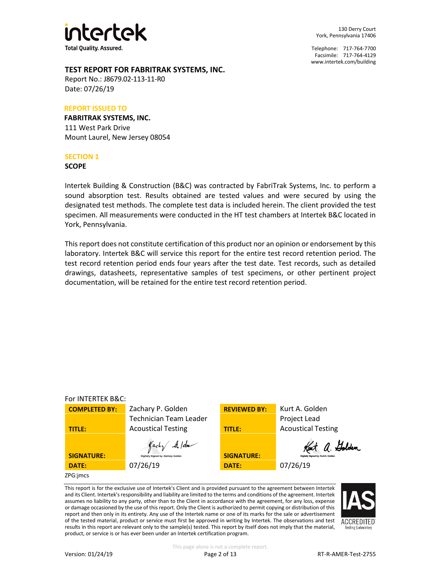

130 Derry Court York, Pennsylvania 17406

Telephone: 717-764-7700 Facsimile: 717-764-4129 [www.intertek.com/building](http://www.intertek.com/building)

## **TEST REPORT FOR FABRITRAK SYSTEMS, INC.**

Report No.: J8679.02-113-11-R0 Date: 07/26/19

#### **REPORT ISSUED TO**

**FABRITRAK SYSTEMS, INC.** 111 West Park Drive Mount Laurel, New Jersey 08054

#### **SECTION 1**

**SCOPE**

Intertek Building & Construction (B&C) was contracted by FabriTrak Systems, Inc. to perform a sound absorption test. Results obtained are tested values and were secured by using the designated test methods. The complete test data is included herein. The client provided the test specimen. All measurements were conducted in the HT test chambers at Intertek B&C located in York, Pennsylvania.

This report does not constitute certification of this product nor an opinion or endorsement by this laboratory. Intertek B&C will service this report for the entire test record retention period. The test record retention period ends four years after the test date. Test records, such as detailed drawings, datasheets, representative samples of test specimens, or other pertinent project documentation, will be retained for the entire test record retention period.



This report is for the exclusive use of Intertek's Client and is provided pursuant to the agreement between Intertek and its Client. Intertek's responsibility and liability are limited to the terms and conditions of the agreement. Intertek assumes no liability to any party, other than to the Client in accordance with the agreement, for any loss, expense or damage occasioned by the use of this report. Only the Client is authorized to permit copying or distribution of this report and then only in its entirety. Any use of the Intertek name or one of its marks for the sale or advertisement of the tested material, product or service must first be approved in writing by Intertek. The observations and test results in this report are relevant only to the sample(s) tested. This report by itself does not imply that the material, product, or service is or has ever been under an Intertek certification program.

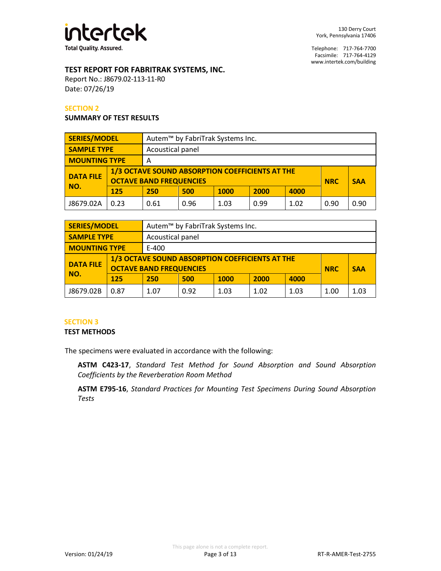

## **TEST REPORT FOR FABRITRAK SYSTEMS, INC.**

Report No.: J8679.02-113-11-R0 Date: 07/26/19

#### **SECTION 2**

#### **SUMMARY OF TEST RESULTS**

| <b>SERIES/MODEL</b>                    |      | Autem <sup>™</sup> by FabriTrak Systems Inc. |                                                                                                 |      |      |      |      |            |
|----------------------------------------|------|----------------------------------------------|-------------------------------------------------------------------------------------------------|------|------|------|------|------------|
| <b>SAMPLE TYPE</b><br>Acoustical panel |      |                                              |                                                                                                 |      |      |      |      |            |
| <b>MOUNTING TYPE</b>                   |      | Α                                            |                                                                                                 |      |      |      |      |            |
| <b>DATA FILE</b>                       |      |                                              | 1/3 OCTAVE SOUND ABSORPTION COEFFICIENTS AT THE<br><b>OCTAVE BAND FREQUENCIES</b><br><b>NRC</b> |      |      |      |      | <b>SAA</b> |
| NO.                                    | 125  | 250                                          | 500                                                                                             | 1000 | 2000 | 4000 |      |            |
| J8679.02A                              | 0.23 | 0.61                                         | 0.96                                                                                            | 1.03 | 0.99 | 1.02 | 0.90 | 0.90       |

| <b>SERIES/MODEL</b>                    |      | Autem <sup>™</sup> by FabriTrak Systems Inc. |                                                                                                               |             |      |      |  |  |
|----------------------------------------|------|----------------------------------------------|---------------------------------------------------------------------------------------------------------------|-------------|------|------|--|--|
| <b>SAMPLE TYPE</b><br>Acoustical panel |      |                                              |                                                                                                               |             |      |      |  |  |
| <b>MOUNTING TYPE</b>                   |      | E-400                                        |                                                                                                               |             |      |      |  |  |
| <b>DATA FILE</b>                       |      |                                              | 1/3 OCTAVE SOUND ABSORPTION COEFFICIENTS AT THE<br><b>OCTAVE BAND FREQUENCIES</b><br><b>SAA</b><br><b>NRC</b> |             |      |      |  |  |
| NO.                                    | 125  | 250                                          | 500                                                                                                           | <b>1000</b> | 2000 | 4000 |  |  |
| J8679.02B                              | 0.87 | 1.07                                         | 0.92                                                                                                          | 1.03        | 1.00 | 1.03 |  |  |

## **SECTION 3**

#### **TEST METHODS**

The specimens were evaluated in accordance with the following:

**ASTM C423-17**, *Standard Test Method for Sound Absorption and Sound Absorption Coefficients by the Reverberation Room Method*

**ASTM E795-16**, *Standard Practices for Mounting Test Specimens During Sound Absorption Tests*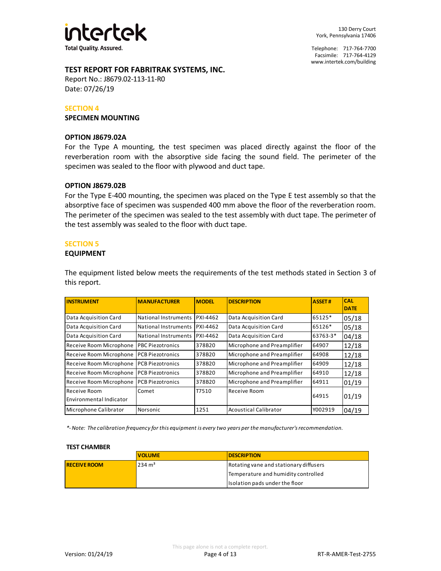

## **TEST REPORT FOR FABRITRAK SYSTEMS, INC.**

Report No.: J8679.02-113-11-R0 Date: 07/26/19

#### **SECTION 4**

**SPECIMEN MOUNTING**

#### **OPTION J8679.02A**

For the Type A mounting, the test specimen was placed directly against the floor of the reverberation room with the absorptive side facing the sound field. The perimeter of the specimen was sealed to the floor with plywood and duct tape.

#### **OPTION J8679.02B**

For the Type E-400 mounting, the specimen was placed on the Type E test assembly so that the absorptive face of specimen was suspended 400 mm above the floor of the reverberation room. The perimeter of the specimen was sealed to the test assembly with duct tape. The perimeter of the test assembly was sealed to the floor with duct tape.

## **SECTION 5**

#### **EQUIPMENT**

The equipment listed below meets the requirements of the test methods stated in Section 3 of this report.

| <b>INSTRUMENT</b>                       | <b>MANUFACTURER</b>      | <b>MODEL</b>    | <b>DESCRIPTION</b>           | <b>ASSET#</b> | <b>CAL</b><br><b>DATE</b> |
|-----------------------------------------|--------------------------|-----------------|------------------------------|---------------|---------------------------|
| Data Acquisition Card                   | National Instruments     | <b>PXI-4462</b> | Data Acquisition Card        | 65125*        | 05/18                     |
| Data Acquisition Card                   | National Instruments     | <b>PXI-4462</b> | Data Acquisition Card        | 65126*        | 05/18                     |
| Data Acquisition Card                   | National Instruments     | <b>PXI-4462</b> | Data Acquisition Card        | 63763-3*      | 04/18                     |
| Receive Room Microphone                 | <b>IPBC Piezotronics</b> | 378B20          | Microphone and Preamplifier  | 64907         | 12/18                     |
| Receive Room Microphone                 | <b>PCB Piezotronics</b>  | 378B20          | Microphone and Preamplifier  | 64908         | 12/18                     |
| Receive Room Microphone                 | IPCB Piezotronics        | 378B20          | Microphone and Preamplifier  | 64909         | 12/18                     |
| Receive Room Microphone                 | IPCB Piezotronics        | 378B20          | Microphone and Preamplifier  | 64910         | 12/18                     |
| Receive Room Microphone                 | <b>PCB Piezotronics</b>  | 378B20          | Microphone and Preamplifier  | 64911         | 01/19                     |
| Receive Room<br>Environmental Indicator | Comet                    | T7510           | Receive Room                 | 64915         | 01/19                     |
| Microphone Calibrator                   | Norsonic                 | 1251            | <b>Acoustical Calibrator</b> | Y002919       | 04/19                     |

*\*- Note: The calibration frequency for this equipment is every two years per the manufacturer's recommendation.*

#### **TEST CHAMBER**

|                     | <b>VOLUME</b>     | <b>IDESCRIPTION</b>                    |
|---------------------|-------------------|----------------------------------------|
| <b>RECEIVE ROOM</b> | $234 \text{ m}^3$ | Rotating vane and stationary diffusers |
|                     |                   | Temperature and humidity controlled    |
|                     |                   | Isolation pads under the floor         |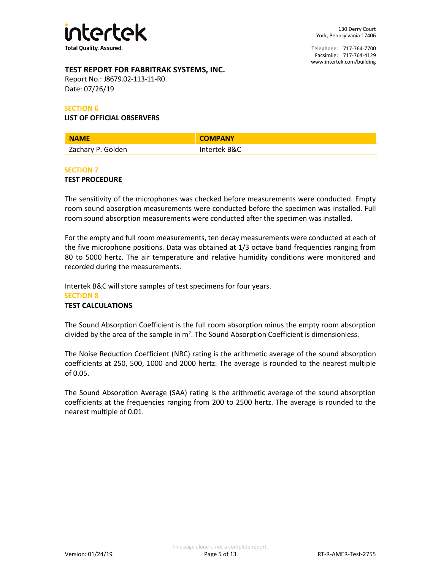

## **TEST REPORT FOR FABRITRAK SYSTEMS, INC.**

Report No.: J8679.02-113-11-R0 Date: 07/26/19

#### **SECTION 6**

#### **LIST OF OFFICIAL OBSERVERS**

| <b>NAME</b>       | <b>COMPANY</b> |
|-------------------|----------------|
| Zachary P. Golden | Intertek B&C   |

#### **SECTION 7**

#### **TEST PROCEDURE**

The sensitivity of the microphones was checked before measurements were conducted. Empty room sound absorption measurements were conducted before the specimen was installed. Full room sound absorption measurements were conducted after the specimen was installed.

For the empty and full room measurements, ten decay measurements were conducted at each of the five microphone positions. Data was obtained at 1/3 octave band frequencies ranging from 80 to 5000 hertz. The air temperature and relative humidity conditions were monitored and recorded during the measurements.

Intertek B&C will store samples of test specimens for four years. **SECTION 8 TEST CALCULATIONS**

The Sound Absorption Coefficient is the full room absorption minus the empty room absorption divided by the area of the sample in  $m^2$ . The Sound Absorption Coefficient is dimensionless.

The Noise Reduction Coefficient (NRC) rating is the arithmetic average of the sound absorption coefficients at 250, 500, 1000 and 2000 hertz. The average is rounded to the nearest multiple of 0.05.

The Sound Absorption Average (SAA) rating is the arithmetic average of the sound absorption coefficients at the frequencies ranging from 200 to 2500 hertz. The average is rounded to the nearest multiple of 0.01.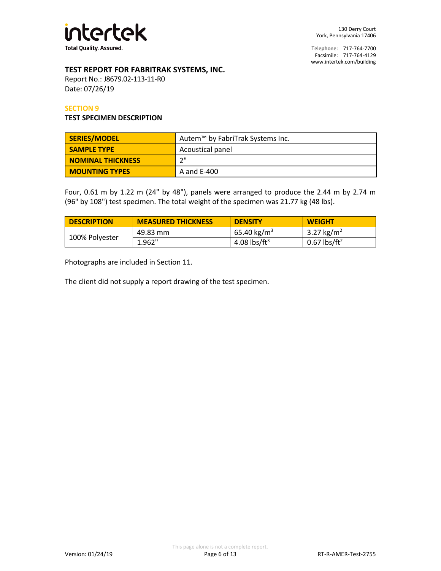

## **TEST REPORT FOR FABRITRAK SYSTEMS, INC.**

Report No.: J8679.02-113-11-R0 Date: 07/26/19

#### **SECTION 9**

#### **TEST SPECIMEN DESCRIPTION**

| SERIES/MODEL             | Autem™ by FabriTrak Systems Inc. |
|--------------------------|----------------------------------|
| <b>SAMPLE TYPE</b>       | Acoustical panel                 |
| <b>NOMINAL THICKNESS</b> | ייר                              |
| <b>MOUNTING TYPES</b>    | A and E-400                      |

Four, 0.61 m by 1.22 m (24" by 48"), panels were arranged to produce the 2.44 m by 2.74 m (96" by 108") test specimen. The total weight of the specimen was 21.77 kg (48 lbs).

| <b>DESCRIPTION</b> | <b>MEASURED THICKNESS</b> | <b>DENSITY</b>          | <b>WEIGHT</b>            |
|--------------------|---------------------------|-------------------------|--------------------------|
| 100% Polyester     | 49.83 mm                  | 65.40 kg/m <sup>3</sup> | 3.27 kg/m <sup>2</sup>   |
|                    | 1.962"                    | 4.08 lbs/ft $3$         | 0.67 lbs/ft <sup>2</sup> |

Photographs are included in Section 11.

The client did not supply a report drawing of the test specimen.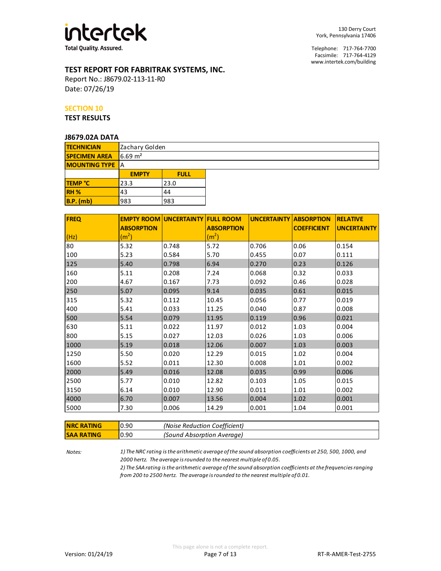

## **TEST REPORT FOR FABRITRAK SYSTEMS, INC.**

Report No.: J8679.02-113-11-R0 Date: 07/26/19

#### **SECTION 10**

**TEST RESULTS**

#### **J8679.02A DATA**

| <b>TECHNICIAN</b>      |                    | Zachary Golden |  |  |  |
|------------------------|--------------------|----------------|--|--|--|
| <b>SPECIMEN AREA</b>   | $6.69 \text{ m}^2$ |                |  |  |  |
| <b>MOUNTING TYPE</b> A |                    |                |  |  |  |
|                        | <b>EMPTY</b>       | <b>FULL</b>    |  |  |  |
| TEMP °C                | 23.3               | 23.0           |  |  |  |
| RH <sub>%</sub>        | 43                 | 44             |  |  |  |
| <b>B.P.</b> (mb)       | 983                | 983            |  |  |  |

| <b>FREQ</b> |                   | <b>EMPTY ROOM UNCERTAINTY FULL ROOM</b> |                   | <b>UNCERTAINTY ABSORPTION</b> |                    | <b>RELATIVE</b>    |
|-------------|-------------------|-----------------------------------------|-------------------|-------------------------------|--------------------|--------------------|
|             | <b>ABSORPTION</b> |                                         | <b>ABSORPTION</b> |                               | <b>COEFFICIENT</b> | <b>UNCERTAINTY</b> |
| (Hz)        | (m <sup>2</sup> ) |                                         | (m <sup>2</sup> ) |                               |                    |                    |
| 80          | 5.32              | 0.748                                   | 5.72              | 0.706                         | 0.06               | 0.154              |
| 100         | 5.23              | 0.584                                   | 5.70              | 0.455                         | 0.07               | 0.111              |
| 125         | 5.40              | 0.798                                   | 6.94              | 0.270                         | 0.23               | 0.126              |
| 160         | 5.11              | 0.208                                   | 7.24              | 0.068                         | 0.32               | 0.033              |
| 200         | 4.67              | 0.167                                   | 7.73              | 0.092                         | 0.46               | 0.028              |
| 250         | 5.07              | 0.095                                   | 9.14              | 0.035                         | 0.61               | 0.015              |
| 315         | 5.32              | 0.112                                   | 10.45             | 0.056                         | 0.77               | 0.019              |
| 400         | 5.41              | 0.033                                   | 11.25             | 0.040                         | 0.87               | 0.008              |
| 500         | 5.54              | 0.079                                   | 11.95             | 0.119                         | 0.96               | 0.021              |
| 630         | 5.11              | 0.022                                   | 11.97             | 0.012                         | 1.03               | 0.004              |
| 800         | 5.15              | 0.027                                   | 12.03             | 0.026                         | 1.03               | 0.006              |
| 1000        | 5.19              | 0.018                                   | 12.06             | 0.007                         | 1.03               | 0.003              |
| 1250        | 5.50              | 0.020                                   | 12.29             | 0.015                         | 1.02               | 0.004              |
| 1600        | 5.52              | 0.011                                   | 12.30             | 0.008                         | 1.01               | 0.002              |
| 2000        | 5.49              | 0.016                                   | 12.08             | 0.035                         | 0.99               | 0.006              |
| 2500        | 5.77              | 0.010                                   | 12.82             | 0.103                         | 1.05               | 0.015              |
| 3150        | 6.14              | 0.010                                   | 12.90             | 0.011                         | 1.01               | 0.002              |
| 4000        | 6.70              | 0.007                                   | 13.56             | 0.004                         | 1.02               | 0.001              |
| 5000        | 7.30              | 0.006                                   | 14.29             | 0.001                         | 1.04               | 0.001              |

| <b>NRC RATING</b> | 0.90 | (Noise Reduction Coefficient) |
|-------------------|------|-------------------------------|
| <b>SAA RATING</b> | 0.90 | (Sound Absorption Average)    |

*Notes:*

*1) The NRC rating is the arithmetic average of the sound absorption coefficients at 250, 500, 1000, and 2000 hertz. The average is rounded to the nearest multiple of 0.05.*

*2) The SAA rating is the arithmetic average of the sound absorption coefficients at the frequencies ranging from 200 to 2500 hertz. The average is rounded to the nearest multiple of 0.01.*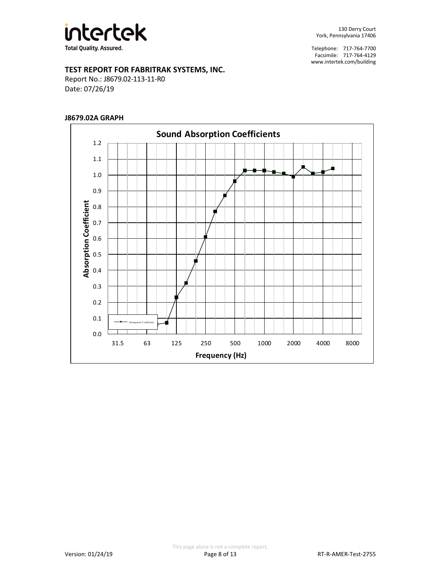

## **TEST REPORT FOR FABRITRAK SYSTEMS, INC.**

Report No.: J8679.02-113-11-R0 Date: 07/26/19

#### **J8679.02A GRAPH**

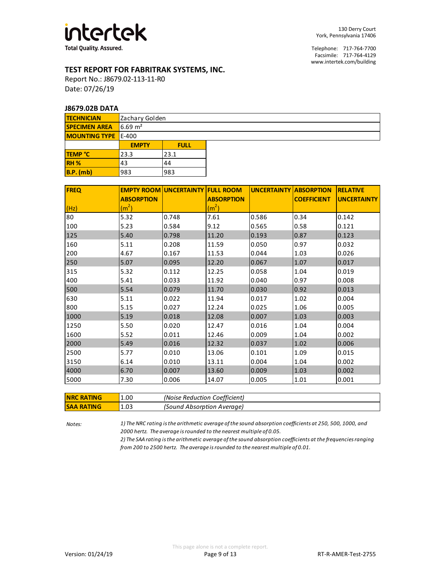

## **TEST REPORT FOR FABRITRAK SYSTEMS, INC.**

Report No.: J8679.02-113-11-R0 Date: 07/26/19

#### **J8679.02B DATA**

| <b>TECHNICIAN</b>          |                    | Zachary Golden |  |  |  |  |
|----------------------------|--------------------|----------------|--|--|--|--|
| <b>SPECIMEN AREA</b>       | $6.69 \text{ m}^2$ |                |  |  |  |  |
| <b>MOUNTING TYPE</b> E-400 |                    |                |  |  |  |  |
|                            | <b>EMPTY</b>       | <b>FULL</b>    |  |  |  |  |
| <b>TEMP °C</b>             | 23.3               | 23.1           |  |  |  |  |
| RH <sub>%</sub>            | 43                 | 44             |  |  |  |  |
| $B.P.$ (mb)                | 983                | 983            |  |  |  |  |

| <b>FREQ</b> |                   | <b>EMPTY ROOM UNCERTAINTY FULL ROOM</b> |                   | <b>UNCERTAINTY ABSORPTION</b> |                    | <b>RELATIVE</b>    |
|-------------|-------------------|-----------------------------------------|-------------------|-------------------------------|--------------------|--------------------|
|             | <b>ABSORPTION</b> |                                         | <b>ABSORPTION</b> |                               | <b>COEFFICIENT</b> | <b>UNCERTAINTY</b> |
| (Hz)        | (m <sup>2</sup> ) |                                         | (m <sup>2</sup> ) |                               |                    |                    |
| 80          | 5.32              | 0.748                                   | 7.61              | 0.586                         | 0.34               | 0.142              |
| 100         | 5.23              | 0.584                                   | 9.12              | 0.565                         | 0.58               | 0.121              |
| 125         | 5.40              | 0.798                                   | 11.20             | 0.193                         | 0.87               | 0.123              |
| 160         | 5.11              | 0.208                                   | 11.59             | 0.050                         | 0.97               | 0.032              |
| 200         | 4.67              | 0.167                                   | 11.53             | 0.044                         | 1.03               | 0.026              |
| 250         | 5.07              | 0.095                                   | 12.20             | 0.067                         | 1.07               | 0.017              |
| 315         | 5.32              | 0.112                                   | 12.25             | 0.058                         | 1.04               | 0.019              |
| 400         | 5.41              | 0.033                                   | 11.92             | 0.040                         | 0.97               | 0.008              |
| 500         | 5.54              | 0.079                                   | 11.70             | 0.030                         | 0.92               | 0.013              |
| 630         | 5.11              | 0.022                                   | 11.94             | 0.017                         | 1.02               | 0.004              |
| 800         | 5.15              | 0.027                                   | 12.24             | 0.025                         | 1.06               | 0.005              |
| 1000        | 5.19              | 0.018                                   | 12.08             | 0.007                         | 1.03               | 0.003              |
| 1250        | 5.50              | 0.020                                   | 12.47             | 0.016                         | 1.04               | 0.004              |
| 1600        | 5.52              | 0.011                                   | 12.46             | 0.009                         | 1.04               | 0.002              |
| 2000        | 5.49              | 0.016                                   | 12.32             | 0.037                         | 1.02               | 0.006              |
| 2500        | 5.77              | 0.010                                   | 13.06             | 0.101                         | 1.09               | 0.015              |
| 3150        | 6.14              | 0.010                                   | 13.11             | 0.004                         | 1.04               | 0.002              |
| 4000        | 6.70              | 0.007                                   | 13.60             | 0.009                         | 1.03               | 0.002              |
| 5000        | 7.30              | 0.006                                   | 14.07             | 0.005                         | 1.01               | 0.001              |

| <b>NRC RATING</b> | 1.00 | (Noise Reduction Coefficient) |
|-------------------|------|-------------------------------|
| <b>SAA RATING</b> | 1.03 | (Sound Absorption Average)    |

*Notes: 1) The NRC rating is the arithmetic average of the sound absorption coefficients at 250, 500, 1000, and 2000 hertz. The average is rounded to the nearest multiple of 0.05.*

> *2) The SAA rating is the arithmetic average of the sound absorption coefficients at the frequencies ranging from 200 to 2500 hertz. The average is rounded to the nearest multiple of 0.01.*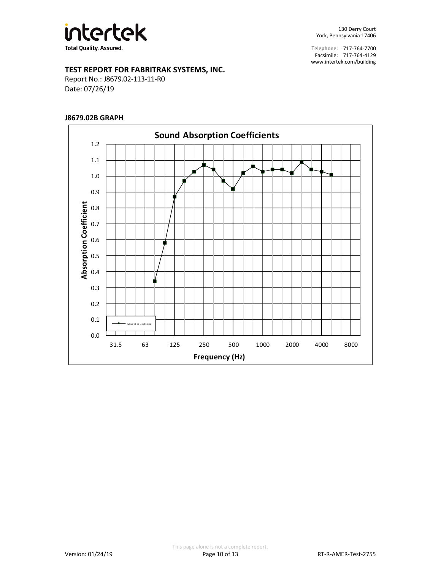

## **TEST REPORT FOR FABRITRAK SYSTEMS, INC.**

Report No.: J8679.02-113-11-R0 Date: 07/26/19

## **J8679.02B GRAPH**

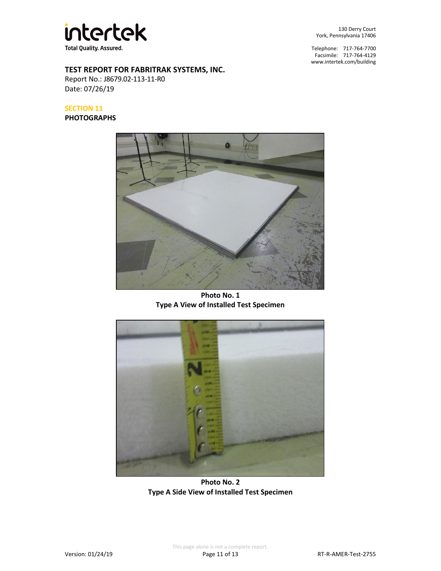

**TEST REPORT FOR FABRITRAK SYSTEMS, INC.**

Report No.: J8679.02-113-11-R0 Date: 07/26/19

## **SECTION 11**

#### **PHOTOGRAPHS**

130 Derry Court York, Pennsylvania 17406

Telephone: 717-764-7700 Facsimile: 717-764-4129 [www.intertek.com/building](http://www.intertek.com/building)



**Photo No. 1 Type A View of Installed Test Specimen**



**Photo No. 2 Type A Side View of Installed Test Specimen**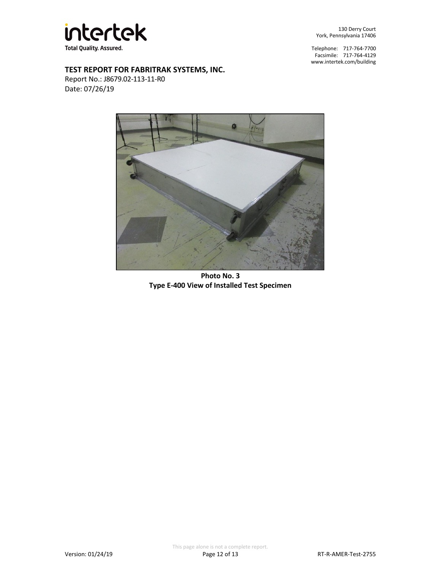

130 Derry Court York, Pennsylvania 17406

Telephone: 717-764-7700 Facsimile: 717-764-4129 [www.intertek.com/building](http://www.intertek.com/building)

## **TEST REPORT FOR FABRITRAK SYSTEMS, INC.**

Report No.: J8679.02-113-11-R0 Date: 07/26/19



**Photo No. 3 Type E-400 View of Installed Test Specimen**